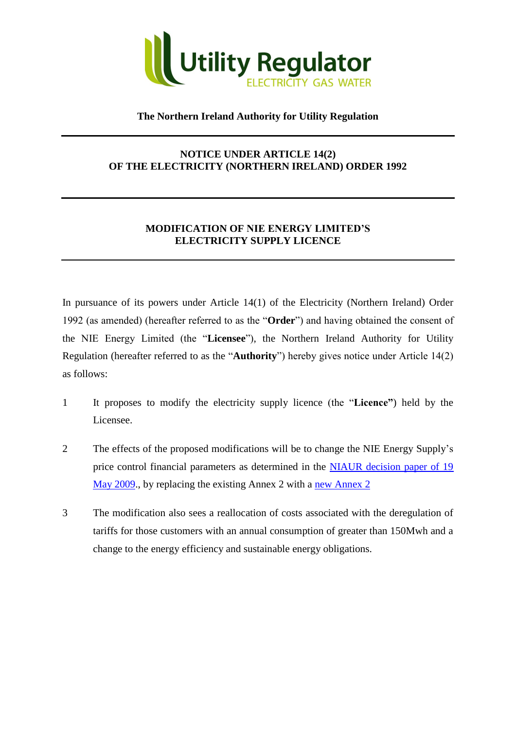

## **The Northern Ireland Authority for Utility Regulation**

## **NOTICE UNDER ARTICLE 14(2) OF THE ELECTRICITY (NORTHERN IRELAND) ORDER 1992**

## **MODIFICATION OF NIE ENERGY LIMITED'S ELECTRICITY SUPPLY LICENCE**

In pursuance of its powers under Article 14(1) of the Electricity (Northern Ireland) Order 1992 (as amended) (hereafter referred to as the "**Order**") and having obtained the consent of the NIE Energy Limited (the "**Licensee**"), the Northern Ireland Authority for Utility Regulation (hereafter referred to as the "**Authority**") hereby gives notice under Article 14(2) as follows:

- 1 It proposes to modify the electricity supply licence (the "**Licence"**) held by the Licensee.
- 2 The effects of the proposed modifications will be to change the NIE Energy Supply's price control financial parameters as determined in the NIAUR decision paper of 19 [May 2009.](http://www.niaur.gov.uk/news/view/utility_regulator_publishes_decision_on_niees_price_control_determination), by replacing the existing Annex 2 with a [new Annex 2](http://www.niaur.gov.uk/uploads/publications/ANNEX_2-_SUPPLY_CHARGE_RESTRICTION_CONDITIONS_v16.pdf)
- 3 The modification also sees a reallocation of costs associated with the deregulation of tariffs for those customers with an annual consumption of greater than 150Mwh and a change to the energy efficiency and sustainable energy obligations.